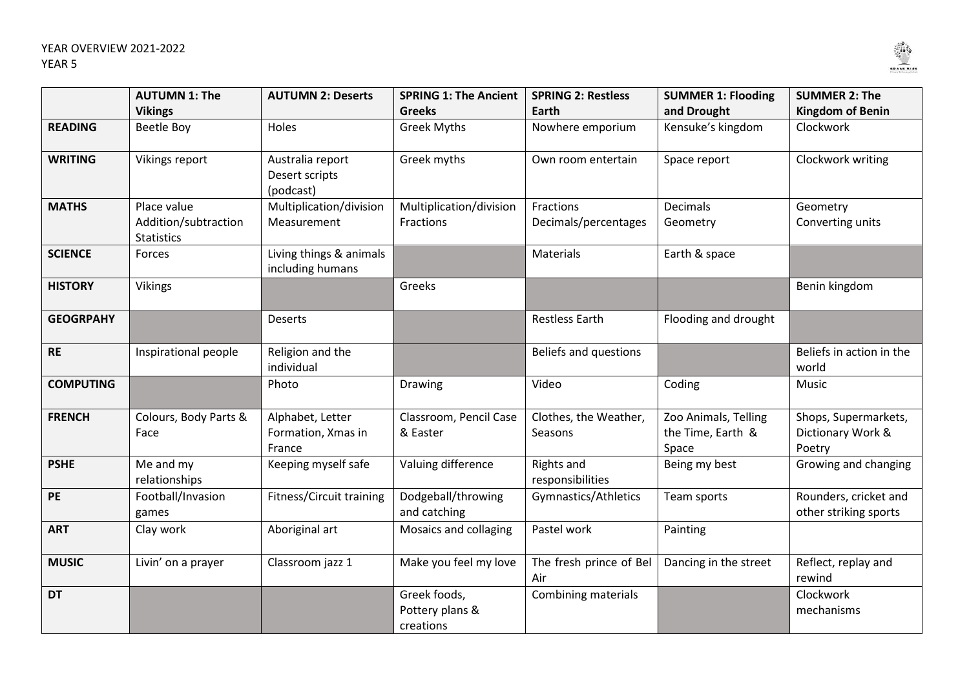

|                  | <b>AUTUMN 1: The</b><br><b>Vikings</b>                   | <b>AUTUMN 2: Deserts</b>                         | <b>SPRING 1: The Ancient</b><br><b>Greeks</b> | <b>SPRING 2: Restless</b><br>Earth | <b>SUMMER 1: Flooding</b><br>and Drought           | <b>SUMMER 2: The</b><br><b>Kingdom of Benin</b>     |
|------------------|----------------------------------------------------------|--------------------------------------------------|-----------------------------------------------|------------------------------------|----------------------------------------------------|-----------------------------------------------------|
| <b>READING</b>   | <b>Beetle Boy</b>                                        | Holes                                            | <b>Greek Myths</b>                            | Nowhere emporium                   | Kensuke's kingdom                                  | Clockwork                                           |
| <b>WRITING</b>   | Vikings report                                           | Australia report<br>Desert scripts<br>(podcast)  | Greek myths                                   | Own room entertain                 | Space report                                       | Clockwork writing                                   |
| <b>MATHS</b>     | Place value<br>Addition/subtraction<br><b>Statistics</b> | Multiplication/division<br>Measurement           | Multiplication/division<br>Fractions          | Fractions<br>Decimals/percentages  | <b>Decimals</b><br>Geometry                        | Geometry<br>Converting units                        |
| <b>SCIENCE</b>   | Forces                                                   | Living things & animals<br>including humans      |                                               | Materials                          | Earth & space                                      |                                                     |
| <b>HISTORY</b>   | <b>Vikings</b>                                           |                                                  | Greeks                                        |                                    |                                                    | Benin kingdom                                       |
| <b>GEOGRPAHY</b> |                                                          | <b>Deserts</b>                                   |                                               | <b>Restless Earth</b>              | Flooding and drought                               |                                                     |
| <b>RE</b>        | Inspirational people                                     | Religion and the<br>individual                   |                                               | <b>Beliefs and questions</b>       |                                                    | Beliefs in action in the<br>world                   |
| <b>COMPUTING</b> |                                                          | Photo                                            | Drawing                                       | Video                              | Coding                                             | Music                                               |
| <b>FRENCH</b>    | Colours, Body Parts &<br>Face                            | Alphabet, Letter<br>Formation, Xmas in<br>France | Classroom, Pencil Case<br>& Easter            | Clothes, the Weather,<br>Seasons   | Zoo Animals, Telling<br>the Time, Earth &<br>Space | Shops, Supermarkets,<br>Dictionary Work &<br>Poetry |
| <b>PSHE</b>      | Me and my<br>relationships                               | Keeping myself safe                              | Valuing difference                            | Rights and<br>responsibilities     | Being my best                                      | Growing and changing                                |
| PE               | Football/Invasion<br>games                               | Fitness/Circuit training                         | Dodgeball/throwing<br>and catching            | Gymnastics/Athletics               | Team sports                                        | Rounders, cricket and<br>other striking sports      |
| <b>ART</b>       | Clay work                                                | Aboriginal art                                   | Mosaics and collaging                         | Pastel work                        | Painting                                           |                                                     |
| <b>MUSIC</b>     | Livin' on a prayer                                       | Classroom jazz 1                                 | Make you feel my love                         | The fresh prince of Bel<br>Air     | Dancing in the street                              | Reflect, replay and<br>rewind                       |
| <b>DT</b>        |                                                          |                                                  | Greek foods,<br>Pottery plans &<br>creations  | Combining materials                |                                                    | Clockwork<br>mechanisms                             |